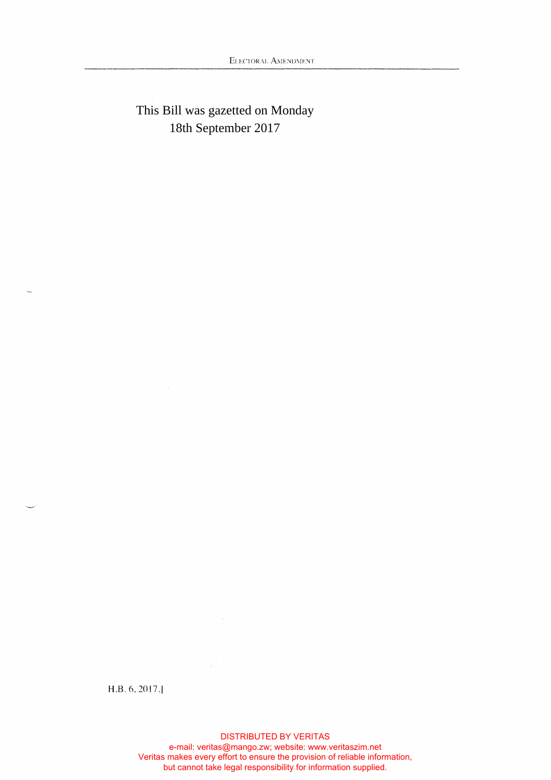## This Bill was gazetted on Monday 18th September 2017

**H.B.6.2017.j** 

DISTRIBUTED BY VERITAS e-mail: veritas@mango.zw; website: www.veritaszim.net Veritas makes every effort to ensure the provision of reliable information, but cannot take legal responsibility for information supplied.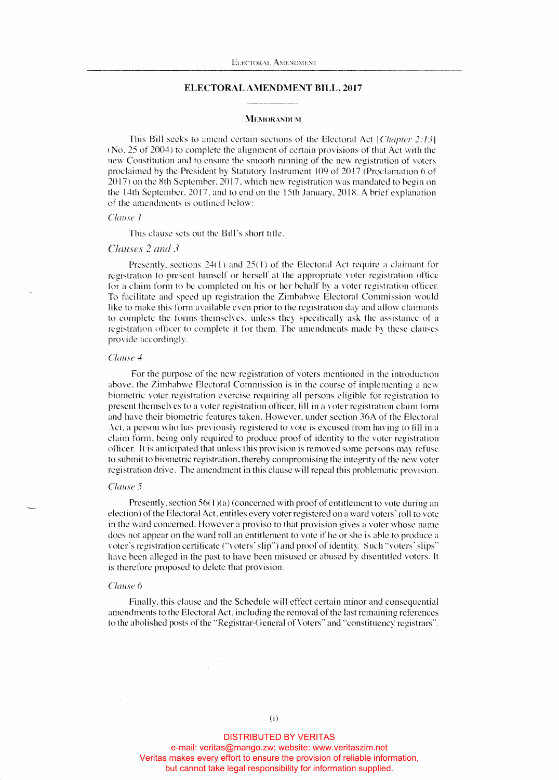## **ELECTORAL AMENDMENT BILL, 2017**

#### **MEMORANDUM**

This Bill seeks to amend certain sections of the Electoral Act *[Chapter 2:131*  (No. 25 of 2004) to complete the alignment of certain provisions of that Act with the new Constitution and to ensure the smooth running of the new registration of voters proclaimed by the President by Statutory Instrument 109 of 2017 (Proclamation 6 of 20 17) on the 8th September. 20 17. which new registration was mandated to begin on the 14th September. 2017. and to end on the 15th January. 2018. A brief explanation of the amendments is outlined hclow:

## *Clause* 1

This clause sets out the Bill's short title.

## *Clauses 2 and 3*

Presently, sections 24(1) and 25(1) of the Electoral Act require a claimant for registration to present himself or herself at the appropriate voter registration office for a claim form to be completed on his or her behalf by a voter registration officer. To facilitate and speed up registration the Zimbabwe Electoral Commission would like to make this form available even prior to the registration day and allow claimants to complete the fonns themselves, unless they specifically ask the assistance of a registration officer to complete it for them. The amendments made by these clauses provide accordingly.

### *Clause 4*

For the purpose of the new registration of voters mentioned in the introduction above. the Zimbabwe Electoral Commission is in the course of implementing a new biometric voter registration exercise requiring all persons eligible for registration to present themselves to a voter registration officer, fill in a voter registration claim fonn and have their biometric features taken. However, under section 36A of the Electoral Act, a person who has previously registered to vote is excused from having to fill in a claim fonn. being only required to produce proof of identity to the voter registration officer. It is anticipated that unless this provision is removed some persons may refuse to submit to biometric registration. thereby compromising the integrity of the new voter registration drive. The amendment in this clause will repeal this problematic provision.

#### *Clause 5*

Presently, section 56(1)(a) (concerned with proof of entitlement to vote during an election) of the Electoral Act, entitles every voter registered on a ward voters' roll to vote in the ward concerned. However a proviso to that provision gives a voter whose name docs not appear on the ward roll an entitlement to vote if he or she is able to produce a voter's registration certificate ("voters' slip") and proof of identity. Such "voters' slips" have been alleged in the past to have been misused or abused by disentitled voters. It is therefore proposed to delete that provision.

#### *Clause* 6

Finally, this clause and the Schedule will effect certain minor and consequential amendments to the Electoral Act, including the removal of the last remaining references to the abolished posts of the "Registrar-Geneml of Voters" and "constituency registrars".

DISTRIBUTED BY VERITAS

e-mail: veritas@mango.zw; website: www.veritaszim.net Veritas makes every effort to ensure the provision of reliable information, but cannot take legal responsibility for information supplied.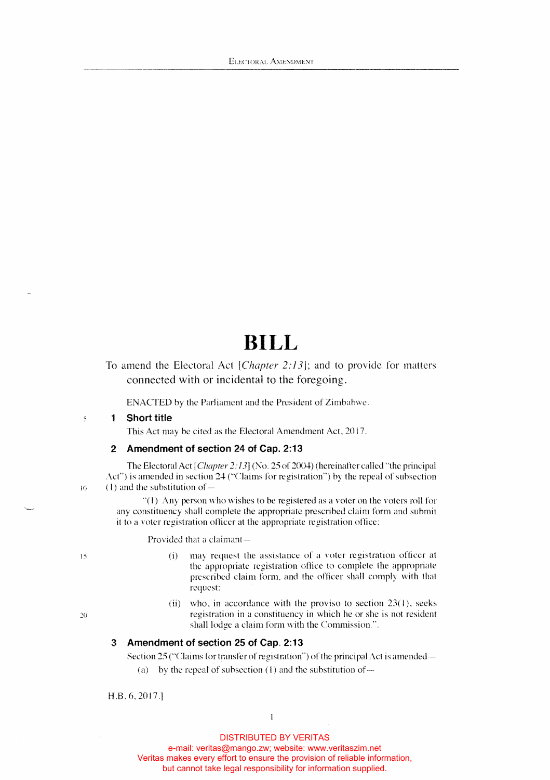# **BILL**

## To amend the Electoral Act *lChapter 2:13j;* and to provide for matters connected with or incidental to the foregoing.

ENACTED by the Parliament and the President of Zimbabwe.

## *s* **1 Short title**

This Act may be cited as the Electoral Amendment Act, 2017.

## **2 Amendment of section 24 of Cap. 2:13**

The Electoral Act *[Chapter 2:131* (No. 25 of 2004) (hereinafter called "the principal Act") is amended in section 24 ("Claims for registration") by the repeal of subsection (I) and the substitution of-

"( l) Any person who wishes to be registered as a voter on the voters roll for any constituency shall complete the appropriate prescribed claim form and submit it to a voter registration officer at the appropriate registration office:

Provided that a claimant-

- (i) may request the assistance of a voter registration officer at the appropriate registration office to complete the appropriate prescribed claim form, and the officer shall comply with that request
- (ii) who, in accordance with the proviso to section  $23(1)$ , seeks :w registration in a constituency in which he or she is not resident shall lodge a claim form with the Commission.".

## **3 Amendment of section 25 of Cap. 2:13**

Section  $25$  ("Claims for transfer of registration") of the principal Act is amended—

(a) by the repeal of subsection  $(1)$  and the substitution of-

H.B.6,2017.]

DISTRIBUTED BY VERITAS

 $\mathbf{I}$ 

e-mail: veritas@mango.zw; website: www.veritaszim.net Veritas makes every effort to ensure the provision of reliable information,

but cannot take legal responsibility for information supplied.

15

10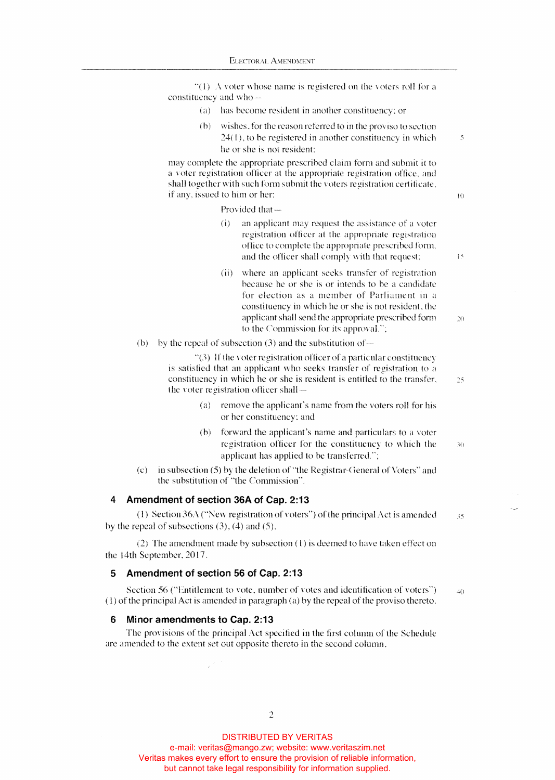$\degree$ (1) A voter whose name is registered on the voters roll for a constituency and who-

- *(* a) has become resident in another constituency: or
- (b) wishes. forthe reason referred to in the proviso to section 24( I), to be registered in another constituency in which *5*  he or she is not resident:

may complete the appropriate prescribed claim form and submit it to a voter registration officer at the appropriate registration office. and shall together with such form submit the voters registration certificate.  $if any, issued to him or her:  $10$$ 

Provided that-

- $(i)$  an applicant may request the assistance of a voter registration officer at the appropriate registration office to complete the appropriate prescribed form, and the officer shall comply with that request: l<sup>5</sup>
- (ii) where an applicant seeks transfer of registration because he or she is or intends to he a candidate for election as a member of Parliament in a constituency in which he or she is not resident, the applicant shall send the appropriate prescribed form  $20$ to the Commission for its approval.";
- (b) by the repeal of subsection  $(3)$  and the substitution of-

"(3) If the voter registration officer of a particular constituency is satisfied that an applicant who seeks transfer of registration to a constituency in which he or she is resident is entitled to the transfer. *25*  the voter registration officer shall-

- (a) remove the applicant's name from the voters roll for his or her constituency: and
- (b) forward the applicant's name and particulars to a voter registration officer for the constituency to which the  $~\times~$  30 applicant has applied to be transferred,";
- (c) in subsection (5) by the deletion of "the Registrar-General of Voters" and the substitution of "the Commission",

## **4 Amendment of section 36A of Cap. 2:13**

( 1) Section36A ("'New registration of voters") of the principal Act is amended *<sup>35</sup>* by the repeal of subsections  $(3)$ ,  $(4)$  and  $(5)$ .

(2) The amendment made by subsection  $(1)$  is deemed to have taken effect on the 14th September, 20 17.

## **5 Amendment of section 56 of Cap. 2:13**

Section 56 ("Entitlement to vote, number of votes and identification of voters")  $40$ ( l) of the principal Act is amended in paragraph (a) by the repeal of the proviso thereto.

## **6 Minor amendments to Cap. 2:13**

The provisions of the principal Act specilied in the first column of the Schedule are amended to the extent set out opposite thereto in the second column.